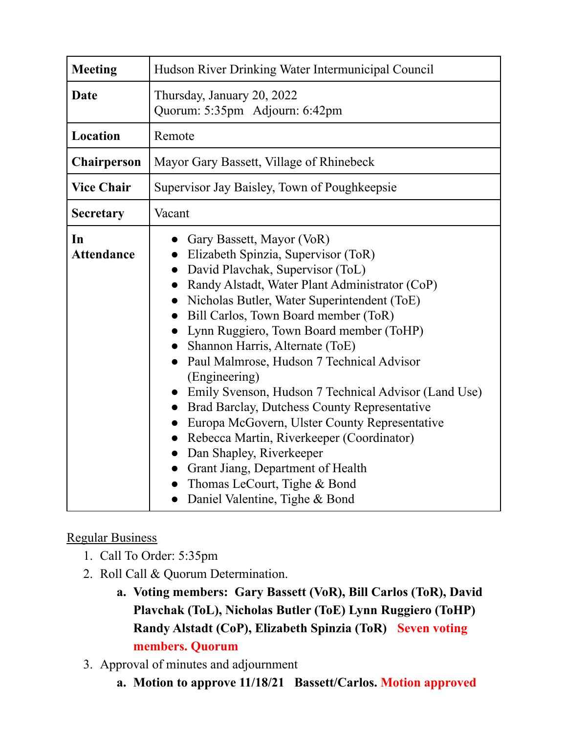| <b>Meeting</b>          | Hudson River Drinking Water Intermunicipal Council                                                                                                                                                                                                                                                                                                                                                                                                                                                                                                                                                                                                                                                                                 |
|-------------------------|------------------------------------------------------------------------------------------------------------------------------------------------------------------------------------------------------------------------------------------------------------------------------------------------------------------------------------------------------------------------------------------------------------------------------------------------------------------------------------------------------------------------------------------------------------------------------------------------------------------------------------------------------------------------------------------------------------------------------------|
| Date                    | Thursday, January 20, 2022<br>Quorum: 5:35pm Adjourn: 6:42pm                                                                                                                                                                                                                                                                                                                                                                                                                                                                                                                                                                                                                                                                       |
| Location                | Remote                                                                                                                                                                                                                                                                                                                                                                                                                                                                                                                                                                                                                                                                                                                             |
| <b>Chairperson</b>      | Mayor Gary Bassett, Village of Rhinebeck                                                                                                                                                                                                                                                                                                                                                                                                                                                                                                                                                                                                                                                                                           |
| <b>Vice Chair</b>       | Supervisor Jay Baisley, Town of Poughkeepsie                                                                                                                                                                                                                                                                                                                                                                                                                                                                                                                                                                                                                                                                                       |
| <b>Secretary</b>        | Vacant                                                                                                                                                                                                                                                                                                                                                                                                                                                                                                                                                                                                                                                                                                                             |
| In<br><b>Attendance</b> | Gary Bassett, Mayor (VoR)<br>Elizabeth Spinzia, Supervisor (ToR)<br>David Plavchak, Supervisor (ToL)<br>Randy Alstadt, Water Plant Administrator (CoP)<br>Nicholas Butler, Water Superintendent (ToE)<br>Bill Carlos, Town Board member (ToR)<br>Lynn Ruggiero, Town Board member (ToHP)<br>Shannon Harris, Alternate (ToE)<br>Paul Malmrose, Hudson 7 Technical Advisor<br>(Engineering)<br>Emily Svenson, Hudson 7 Technical Advisor (Land Use)<br>Brad Barclay, Dutchess County Representative<br>Europa McGovern, Ulster County Representative<br>Rebecca Martin, Riverkeeper (Coordinator)<br>Dan Shapley, Riverkeeper<br>Grant Jiang, Department of Health<br>Thomas LeCourt, Tighe & Bond<br>Daniel Valentine, Tighe & Bond |

## Regular Business

- 1. Call To Order: 5:35pm
- 2. Roll Call & Quorum Determination.
	- **a. Voting members: Gary Bassett (VoR), Bill Carlos (ToR), David Plavchak (ToL), Nicholas Butler (ToE) Lynn Ruggiero (ToHP) Randy Alstadt (CoP), Elizabeth Spinzia (ToR) Seven voting members. Quorum**
- 3. Approval of minutes and adjournment
	- **a. Motion to approve 11/18/21 Bassett/Carlos. Motion approved**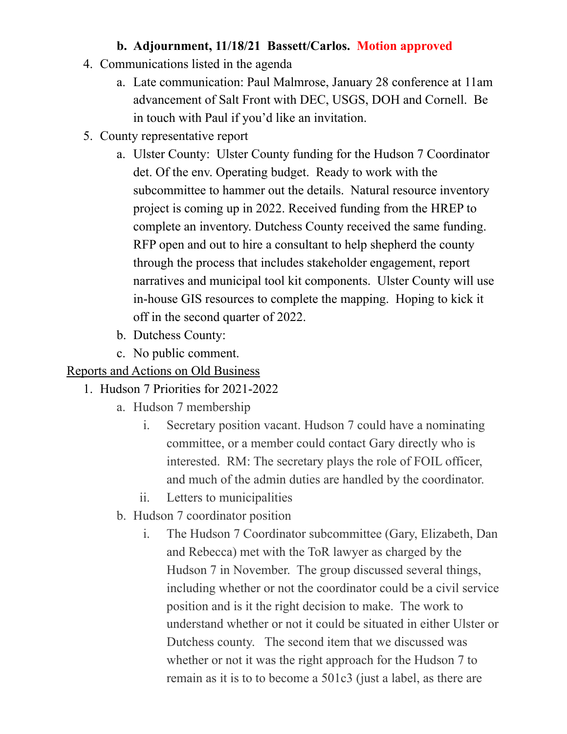## **b. Adjournment, 11/18/21 Bassett/Carlos. Motion approved**

- 4. Communications listed in the agenda
	- a. Late communication: Paul Malmrose, January 28 conference at 11am advancement of Salt Front with DEC, USGS, DOH and Cornell. Be in touch with Paul if you'd like an invitation.
- 5. County representative report
	- a. Ulster County: Ulster County funding for the Hudson 7 Coordinator det. Of the env. Operating budget. Ready to work with the subcommittee to hammer out the details. Natural resource inventory project is coming up in 2022. Received funding from the HREP to complete an inventory. Dutchess County received the same funding. RFP open and out to hire a consultant to help shepherd the county through the process that includes stakeholder engagement, report narratives and municipal tool kit components. Ulster County will use in-house GIS resources to complete the mapping. Hoping to kick it off in the second quarter of 2022.
	- b. Dutchess County:
	- c. No public comment.

## Reports and Actions on Old Business

- 1. Hudson 7 Priorities for 2021-2022
	- a. Hudson 7 membership
		- i. Secretary position vacant. Hudson 7 could have a nominating committee, or a member could contact Gary directly who is interested. RM: The secretary plays the role of FOIL officer, and much of the admin duties are handled by the coordinator.
		- ii. Letters to municipalities
	- b. Hudson 7 coordinator position
		- i. The Hudson 7 Coordinator subcommittee (Gary, Elizabeth, Dan and Rebecca) met with the ToR lawyer as charged by the Hudson 7 in November. The group discussed several things, including whether or not the coordinator could be a civil service position and is it the right decision to make. The work to understand whether or not it could be situated in either Ulster or Dutchess county. The second item that we discussed was whether or not it was the right approach for the Hudson 7 to remain as it is to to become a 501c3 (just a label, as there are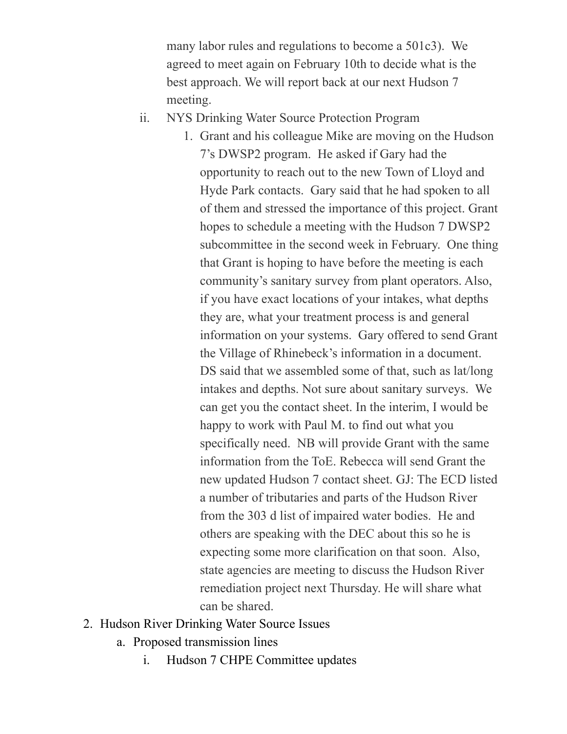many labor rules and regulations to become a 501c3). We agreed to meet again on February 10th to decide what is the best approach. We will report back at our next Hudson 7 meeting.

- ii. NYS Drinking Water Source Protection Program
	- 1. Grant and his colleague Mike are moving on the Hudson 7's DWSP2 program. He asked if Gary had the opportunity to reach out to the new Town of Lloyd and Hyde Park contacts. Gary said that he had spoken to all of them and stressed the importance of this project. Grant hopes to schedule a meeting with the Hudson 7 DWSP2 subcommittee in the second week in February. One thing that Grant is hoping to have before the meeting is each community's sanitary survey from plant operators. Also, if you have exact locations of your intakes, what depths they are, what your treatment process is and general information on your systems. Gary offered to send Grant the Village of Rhinebeck's information in a document. DS said that we assembled some of that, such as lat/long intakes and depths. Not sure about sanitary surveys. We can get you the contact sheet. In the interim, I would be happy to work with Paul M. to find out what you specifically need. NB will provide Grant with the same information from the ToE. Rebecca will send Grant the new updated Hudson 7 contact sheet. GJ: The ECD listed a number of tributaries and parts of the Hudson River from the 303 d list of impaired water bodies. He and others are speaking with the DEC about this so he is expecting some more clarification on that soon. Also, state agencies are meeting to discuss the Hudson River remediation project next Thursday. He will share what can be shared.
- 2. Hudson River Drinking Water Source Issues
	- a. Proposed transmission lines
		- i. Hudson 7 CHPE Committee updates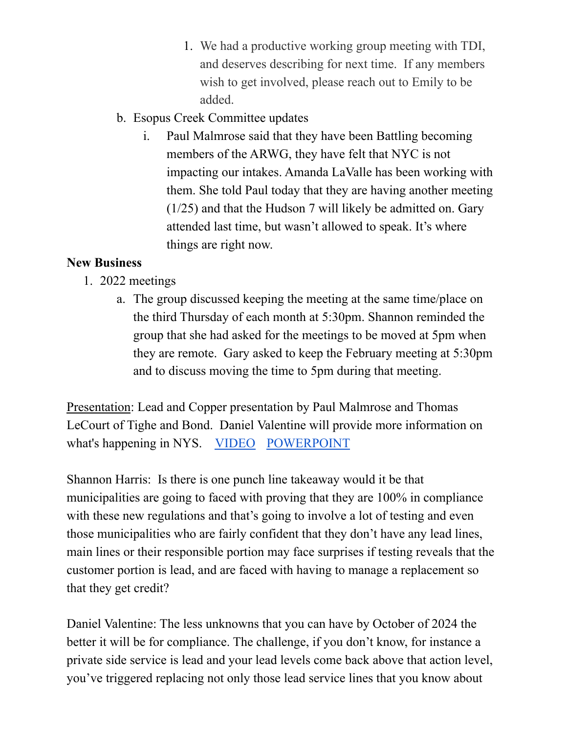- 1. We had a productive working group meeting with TDI, and deserves describing for next time. If any members wish to get involved, please reach out to Emily to be added.
- b. Esopus Creek Committee updates
	- i. Paul Malmrose said that they have been Battling becoming members of the ARWG, they have felt that NYC is not impacting our intakes. Amanda LaValle has been working with them. She told Paul today that they are having another meeting (1/25) and that the Hudson 7 will likely be admitted on. Gary attended last time, but wasn't allowed to speak. It's where things are right now.

## **New Business**

- 1. 2022 meetings
	- a. The group discussed keeping the meeting at the same time/place on the third Thursday of each month at 5:30pm. Shannon reminded the group that she had asked for the meetings to be moved at 5pm when they are remote. Gary asked to keep the February meeting at 5:30pm and to discuss moving the time to 5pm during that meeting.

Presentation: Lead and Copper presentation by Paul Malmrose and Thomas LeCourt of Tighe and Bond. Daniel Valentine will provide more information on what's happening in NYS. [VIDEO](https://youtu.be/h3pEeGptffU?t=703) [POWERPOINT](https://www.hudson7.org/uploads/1/3/5/1/135119184/lcr_revisions_-_hudson7.pdf)

Shannon Harris: Is there is one punch line takeaway would it be that municipalities are going to faced with proving that they are 100% in compliance with these new regulations and that's going to involve a lot of testing and even those municipalities who are fairly confident that they don't have any lead lines, main lines or their responsible portion may face surprises if testing reveals that the customer portion is lead, and are faced with having to manage a replacement so that they get credit?

Daniel Valentine: The less unknowns that you can have by October of 2024 the better it will be for compliance. The challenge, if you don't know, for instance a private side service is lead and your lead levels come back above that action level, you've triggered replacing not only those lead service lines that you know about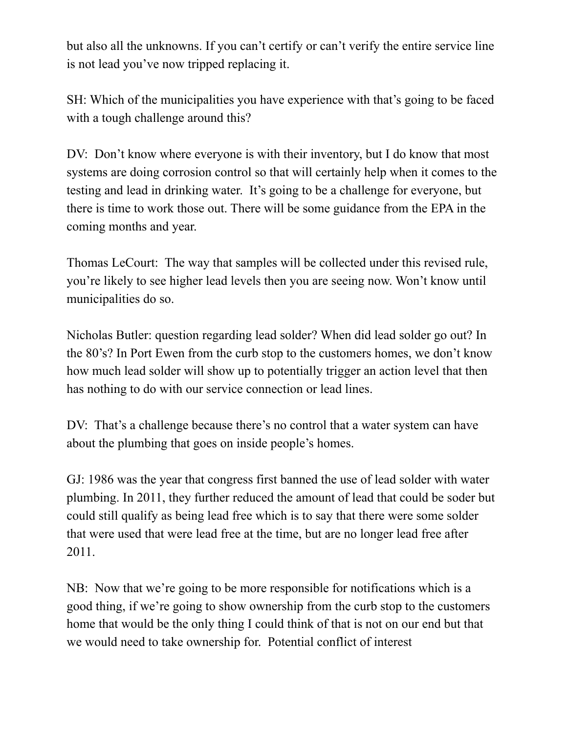but also all the unknowns. If you can't certify or can't verify the entire service line is not lead you've now tripped replacing it.

SH: Which of the municipalities you have experience with that's going to be faced with a tough challenge around this?

DV: Don't know where everyone is with their inventory, but I do know that most systems are doing corrosion control so that will certainly help when it comes to the testing and lead in drinking water. It's going to be a challenge for everyone, but there is time to work those out. There will be some guidance from the EPA in the coming months and year.

Thomas LeCourt: The way that samples will be collected under this revised rule, you're likely to see higher lead levels then you are seeing now. Won't know until municipalities do so.

Nicholas Butler: question regarding lead solder? When did lead solder go out? In the 80's? In Port Ewen from the curb stop to the customers homes, we don't know how much lead solder will show up to potentially trigger an action level that then has nothing to do with our service connection or lead lines.

DV: That's a challenge because there's no control that a water system can have about the plumbing that goes on inside people's homes.

GJ: 1986 was the year that congress first banned the use of lead solder with water plumbing. In 2011, they further reduced the amount of lead that could be soder but could still qualify as being lead free which is to say that there were some solder that were used that were lead free at the time, but are no longer lead free after 2011.

NB: Now that we're going to be more responsible for notifications which is a good thing, if we're going to show ownership from the curb stop to the customers home that would be the only thing I could think of that is not on our end but that we would need to take ownership for. Potential conflict of interest